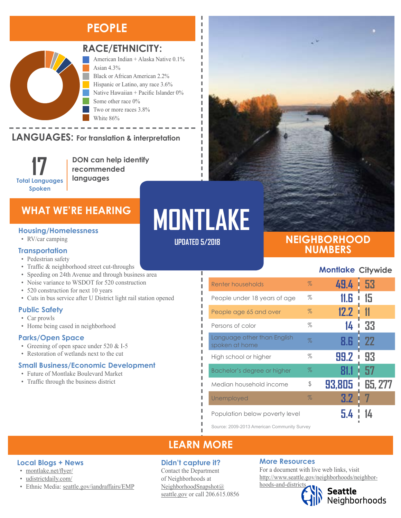### **PEOPLE**



Montlake Demographics

### **RACE/ETHNICITY:**

American Indian + Alaska Native 0.1% Asian 4.3% Black or African American 2.2% Hispanic or Latino, any race 3.6% Native Hawaiian + Pacific Islander 0% Some other race 0% Two or more races 3.8%

#### LANGUAGES: For translation & interpretation Native Hawaiian and Other Pacific Islander Some Other Race

**17 Total Languages Spoken**

American Indian and Alaska Native Asian

**DON can help identify recommended languages**

White 86%

#### **Housing/Homelessness**

• RV/car camping

#### **Transportation**

- Pedestrian safety
- Traffic & neighborhood street cut-throughs
- Speeding on 24th Avenue and through business area
- Noise variance to WSDOT for 520 construction
- 520 construction for next 10 years
- Cuts in bus service after U District light rail station opened

#### **Public Safety**

- Car prowls
- Home being cased in neighborhood

#### **Parks/Open Space**

- Greening of open space under 520 & I-5
- Restoration of wetlands next to the cut

#### **Small Business/Economic Development**

- Future of Montlake Boulevard Market
- Traffic through the business district

# WHAT WE'RE HEARING**ON MONTLAKE UPDATED 5/2018**

Ï I л л

л I Л л п I Ī л л

### **NEIGHBORHOOD NUMBERS**

#### **Montlake Citywide**

| Renter households                             | $\%$ | 49.4        | 53<br>ı |
|-----------------------------------------------|------|-------------|---------|
| People under 18 years of age                  | $\%$ | 11.G        | 15      |
| People age 65 and over                        | $\%$ | 12.2        | 11      |
| Persons of color                              | %    | 14          | 33      |
| Language other than English<br>spoken at home | $\%$ | 8.6         | 22      |
| High school or higher                         | %    | 99.2        | 93      |
| Bachelor's degree or higher                   | $\%$ |             | 57      |
| Median household income                       | \$   | 93,805<br>Ī | 65, 277 |
| Unemployed                                    | $\%$ | 3.2         |         |
| Population below poverty level                |      |             |         |

Source: 2009-2013 American Community Survey

### **LEARN MORE**

#### **Didn't capture it?**

Contact the Department of Neighborhoods at [NeighborhoodSnapshot@](mailto:NeighborhoodSnapshot%40%0Aseattle.gov?subject=) [seattle.gov](mailto:NeighborhoodSnapshot%40%0Aseattle.gov?subject=) or call 206.615.0856

#### **More Resources**

For a document with live web links, visit [http://www.seattle.gov/neighborhoods/neighbor](http://www.seattle.gov/neighborhoods/neighborhoods-and-districts)[hoods-and-districts](http://www.seattle.gov/neighborhoods/neighborhoods-and-districts)

Seattle<br>Neighborhoods

#### **Local Blogs + News**

- [montlake.net/flyer/](http://montlake.net/flyer/)
- [udistrictdaily.com/](https://udistrictdaily.com/)
- Ethnic Media: [seattle.gov/iandraffairs/EMP](http://www.seattle.gov/iandraffairs/EMP)